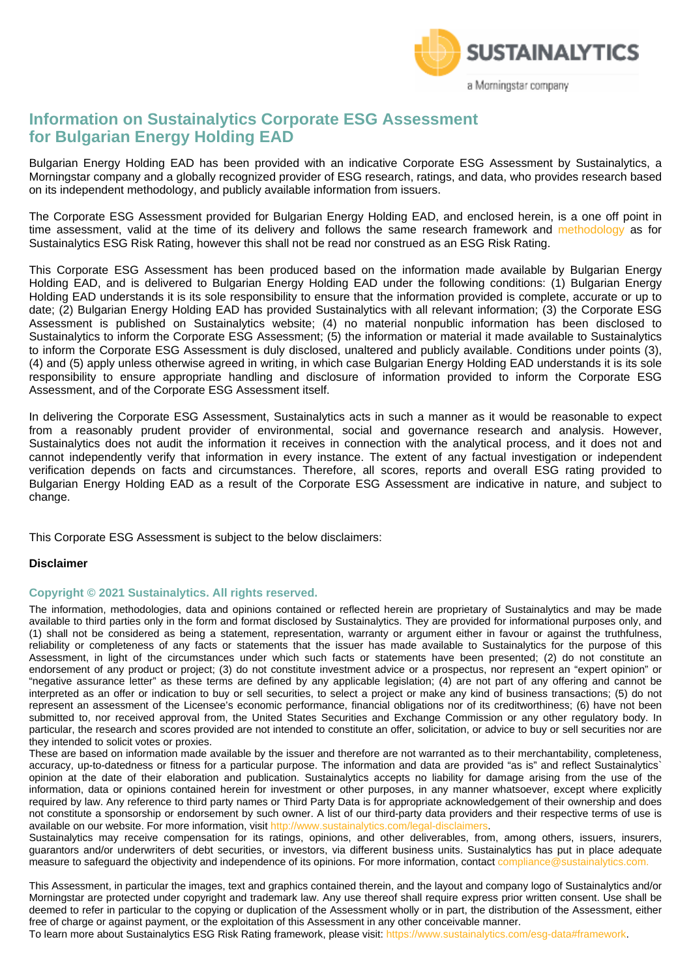

# **Information on Sustainalytics Corporate ESG Assessment for Bulgarian Energy Holding EAD**

Bulgarian Energy Holding EAD has been provided with an indicative Corporate ESG Assessment by Sustainalytics, a Morningstar company and a globally recognized provider of ESG research, ratings, and data, who provides research based on its independent methodology, and publicly available information from issuers.

The Corporate ESG Assessment provided for Bulgarian Energy Holding EAD, and enclosed herein, is a one off point in time assessment, valid at the time of its delivery and follows the same research framework and methodology as for Sustainalytics ESG Risk Rating, however this shall not be read nor construed as an ESG Risk Rating.

This Corporate ESG Assessment has been produced based on the information made available by Bulgarian Energy Holding EAD, and is delivered to Bulgarian Energy Holding EAD under the following conditions: (1) Bulgarian Energy Holding EAD understands it is its sole responsibility to ensure that the information provided is complete, accurate or up to date; (2) Bulgarian Energy Holding EAD has provided Sustainalytics with all relevant information; (3) the Corporate ESG Assessment is published on Sustainalytics website; (4) no material nonpublic information has been disclosed to Sustainalytics to inform the Corporate ESG Assessment; (5) the information or material it made available to Sustainalytics to inform the Corporate ESG Assessment is duly disclosed, unaltered and publicly available. Conditions under points (3), (4) and (5) apply unless otherwise agreed in writing, in which case Bulgarian Energy Holding EAD understands it is its sole responsibility to ensure appropriate handling and disclosure of information provided to inform the Corporate ESG Assessment, and of the Corporate ESG Assessment itself.

In delivering the Corporate ESG Assessment, Sustainalytics acts in such a manner as it would be reasonable to expect from a reasonably prudent provider of environmental, social and governance research and analysis. However, Sustainalytics does not audit the information it receives in connection with the analytical process, and it does not and cannot independently verify that information in every instance. The extent of any factual investigation or independent verification depends on facts and circumstances. Therefore, all scores, reports and overall ESG rating provided to Bulgarian Energy Holding EAD as a result of the Corporate ESG Assessment are indicative in nature, and subject to change.

This Corporate ESG Assessment is subject to the below disclaimers:

### **Disclaimer**

### **Copyright © 2021 Sustainalytics. All rights reserved.**

The information, methodologies, data and opinions contained or reflected herein are proprietary of Sustainalytics and may be made available to third parties only in the form and format disclosed by Sustainalytics. They are provided for informational purposes only, and (1) shall not be considered as being a statement, representation, warranty or argument either in favour or against the truthfulness, reliability or completeness of any facts or statements that the issuer has made available to Sustainalytics for the purpose of this Assessment, in light of the circumstances under which such facts or statements have been presented; (2) do not constitute an endorsement of any product or project; (3) do not constitute investment advice or a prospectus, nor represent an "expert opinion" or "negative assurance letter" as these terms are defined by any applicable legislation; (4) are not part of any offering and cannot be interpreted as an offer or indication to buy or sell securities, to select a project or make any kind of business transactions; (5) do not represent an assessment of the Licensee's economic performance, financial obligations nor of its creditworthiness; (6) have not been submitted to, nor received approval from, the United States Securities and Exchange Commission or any other regulatory body. In particular, the research and scores provided are not intended to constitute an offer, solicitation, or advice to buy or sell securities nor are they intended to solicit votes or proxies.

These are based on information made available by the issuer and therefore are not warranted as to their merchantability, completeness, accuracy, up-to-datedness or fitness for a particular purpose. The information and data are provided "as is" and reflect Sustainalytics` opinion at the date of their elaboration and publication. Sustainalytics accepts no liability for damage arising from the use of the information, data or opinions contained herein for investment or other purposes, in any manner whatsoever, except where explicitly required by law. Any reference to third party names or Third Party Data is for appropriate acknowledgement of their ownership and does not constitute a sponsorship or endorsement by such owner. A list of our third-party data providers and their respective terms of use is available on our website. For more information, visit http://www.sustainalytics.com/legal-disclaimers.

Sustainalytics may receive compensation for its ratings, opinions, and other deliverables, from, among others, issuers, insurers, guarantors and/or underwriters of debt securities, or investors, via different business units. Sustainalytics has put in place adequate measure to safeguard the objectivity and independence of its opinions. For more information, contact compliance@sustainalytics.com.

This Assessment, in particular the images, text and graphics contained therein, and the layout and company logo of Sustainalytics and/or Morningstar are protected under copyright and trademark law. Any use thereof shall require express prior written consent. Use shall be deemed to refer in particular to the copying or duplication of the Assessment wholly or in part, the distribution of the Assessment, either free of charge or against payment, or the exploitation of this Assessment in any other conceivable manner.

To learn more about Sustainalytics ESG Risk Rating framework, please visit: https://www.sustainalytics.com/esg-data#framework.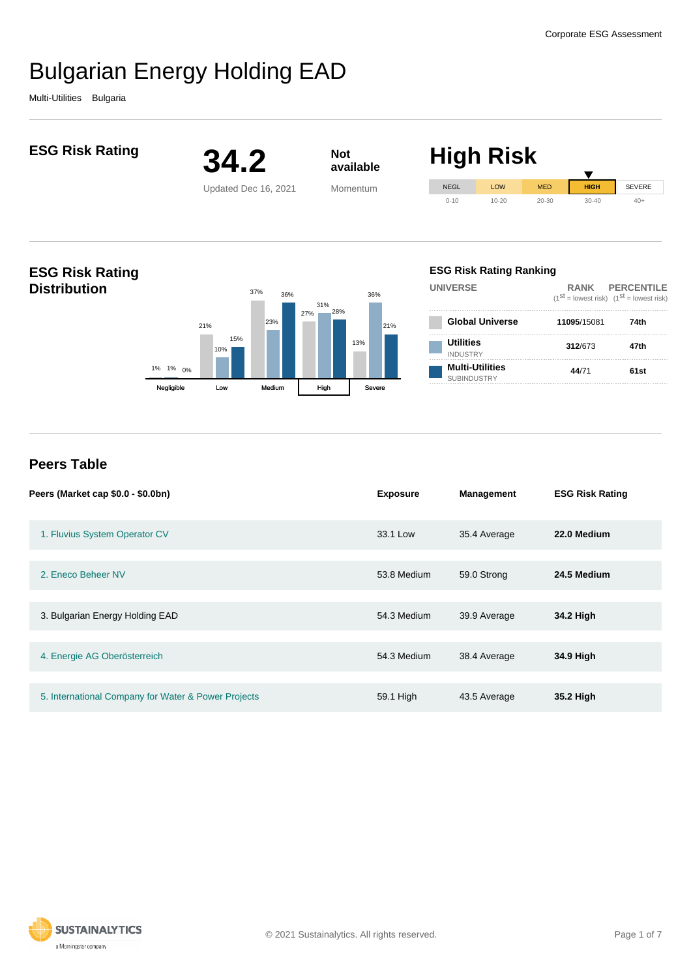Multi-Utilities Bulgaria



| Peers (Market cap \$0.0 - \$0.0bn)                  | <b>Exposure</b> | <b>Management</b> | <b>ESG Risk Rating</b> |
|-----------------------------------------------------|-----------------|-------------------|------------------------|
| 1. Fluvius System Operator CV                       | 33.1 Low        | 35.4 Average      | 22.0 Medium            |
| 2. Eneco Beheer NV                                  |                 |                   |                        |
|                                                     | 53.8 Medium     | 59.0 Strong       | 24.5 Medium            |
| 3. Bulgarian Energy Holding EAD                     | 54.3 Medium     | 39.9 Average      | 34.2 High              |
|                                                     |                 |                   |                        |
| 4. Energie AG Oberösterreich                        | 54.3 Medium     | 38.4 Average      | 34.9 High              |
|                                                     |                 |                   |                        |
| 5. International Company for Water & Power Projects | 59.1 High       |                   | 35.2 High              |
|                                                     |                 | 43.5 Average      |                        |

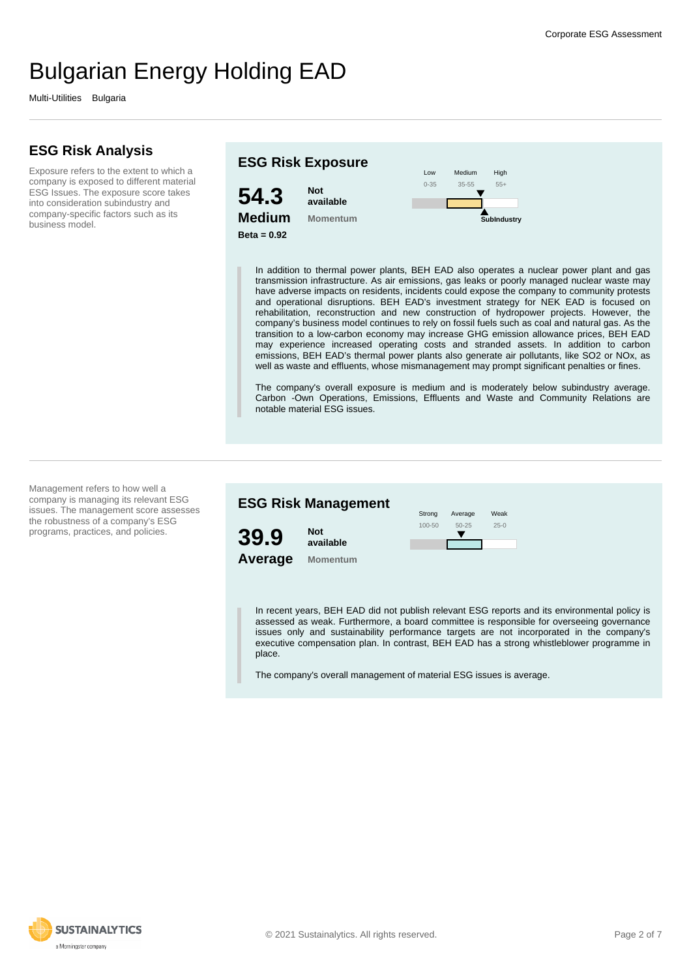Multi-Utilities Bulgaria

## **ESG Risk Analysis**

Exposure refers to the extent to which a company is exposed to different material ESG Issues. The exposure score takes into consideration subindustry and company-specific factors such as its business model.



In addition to thermal power plants, BEH EAD also operates a nuclear power plant and gas transmission infrastructure. As air emissions, gas leaks or poorly managed nuclear waste may have adverse impacts on residents, incidents could expose the company to community protests and operational disruptions. BEH EAD's investment strategy for NEK EAD is focused on rehabilitation, reconstruction and new construction of hydropower projects. However, the company's business model continues to rely on fossil fuels such as coal and natural gas. As the transition to a low-carbon economy may increase GHG emission allowance prices, BEH EAD may experience increased operating costs and stranded assets. In addition to carbon emissions, BEH EAD's thermal power plants also generate air pollutants, like SO2 or NOx, as well as waste and effluents, whose mismanagement may prompt significant penalties or fines.

The company's overall exposure is medium and is moderately below subindustry average. Carbon -Own Operations, Emissions, Effluents and Waste and Community Relations are notable material ESG issues.

Management refers to how well a company is managing its relevant ESG issues. The management score assesses the robustness of a company's ESG programs, practices, and policies.

### **ESG Risk Management**



**Average Not available Momentum**



In recent years, BEH EAD did not publish relevant ESG reports and its environmental policy is assessed as weak. Furthermore, a board committee is responsible for overseeing governance issues only and sustainability performance targets are not incorporated in the company's executive compensation plan. In contrast, BEH EAD has a strong whistleblower programme in place.

The company's overall management of material ESG issues is average.

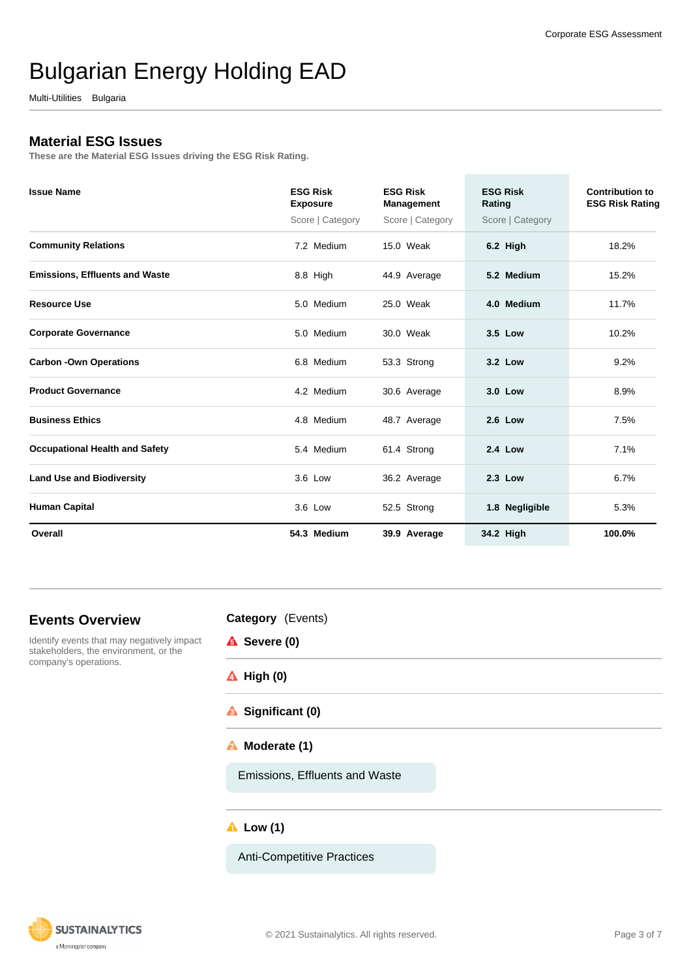Multi-Utilities Bulgaria

## **Material ESG Issues**

**These are the Material ESG Issues driving the ESG Risk Rating.**

| <b>Issue Name</b>                     | <b>ESG Risk</b><br><b>Exposure</b> | <b>ESG Risk</b><br><b>Management</b> | <b>ESG Risk</b><br>Rating | Contribution to<br><b>ESG Risk Rating</b> |
|---------------------------------------|------------------------------------|--------------------------------------|---------------------------|-------------------------------------------|
|                                       | Score   Category                   | Score   Category                     | Score   Category          |                                           |
| <b>Community Relations</b>            | 7.2 Medium                         | 15.0 Weak                            | 6.2 High                  | 18.2%                                     |
| <b>Emissions, Effluents and Waste</b> | 8.8 High                           | 44.9 Average                         | 5.2 Medium                | 15.2%                                     |
| <b>Resource Use</b>                   | 5.0 Medium                         | 25.0 Weak                            | 4.0 Medium                | 11.7%                                     |
| <b>Corporate Governance</b>           | 5.0 Medium                         | 30.0 Weak                            | 3.5 Low                   | 10.2%                                     |
| <b>Carbon -Own Operations</b>         | 6.8 Medium                         | 53.3 Strong                          | 3.2 Low                   | 9.2%                                      |
| <b>Product Governance</b>             | 4.2 Medium                         | 30.6 Average                         | 3.0 Low                   | 8.9%                                      |
| <b>Business Ethics</b>                | 4.8 Medium                         | 48.7 Average                         | <b>2.6 Low</b>            | 7.5%                                      |
| <b>Occupational Health and Safety</b> | 5.4 Medium                         | 61.4 Strong                          | <b>2.4 Low</b>            | 7.1%                                      |
| <b>Land Use and Biodiversity</b>      | 3.6 Low                            | 36.2 Average                         | 2.3 Low                   | 6.7%                                      |
| <b>Human Capital</b>                  | 3.6 Low                            | 52.5 Strong                          | 1.8 Negligible            | 5.3%                                      |
| Overall                               | 54.3 Medium                        | 39.9 Average                         | 34.2 High                 | 100.0%                                    |

## **Events Overview**

Identify events that may negatively impact stakeholders, the environment, or the company's operations.

| <b>Category</b> (Events) |  |
|--------------------------|--|
|--------------------------|--|

- **A** Severe (0)
- **High (0)**
- **Significant (0)**
- **Moderate (1)**

Emissions, Effluents and Waste

### **Low (1)**

Anti-Competitive Practices

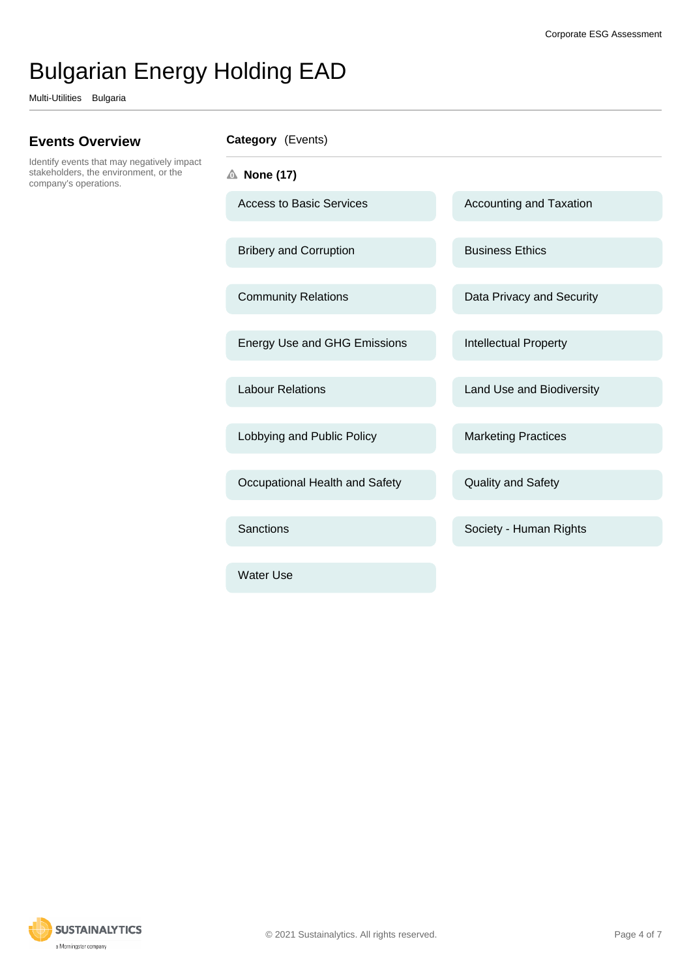Multi-Utilities Bulgaria

## **Events Overview**

Identify events that may negatively impact stakeholders, the environment, or the company's operations.

**Category** (Events)

**None (17)**

Water Use

Access to Basic Services Accounting and Taxation Bribery and Corruption Business Ethics Community Relations **Data Privacy and Security** Energy Use and GHG Emissions Intellectual Property Labour Relations **Labour Relations** Land Use and Biodiversity Lobbying and Public Policy Marketing Practices Occupational Health and Safety **Quality and Safety** Sanctions **Sanctions** Society - Human Rights

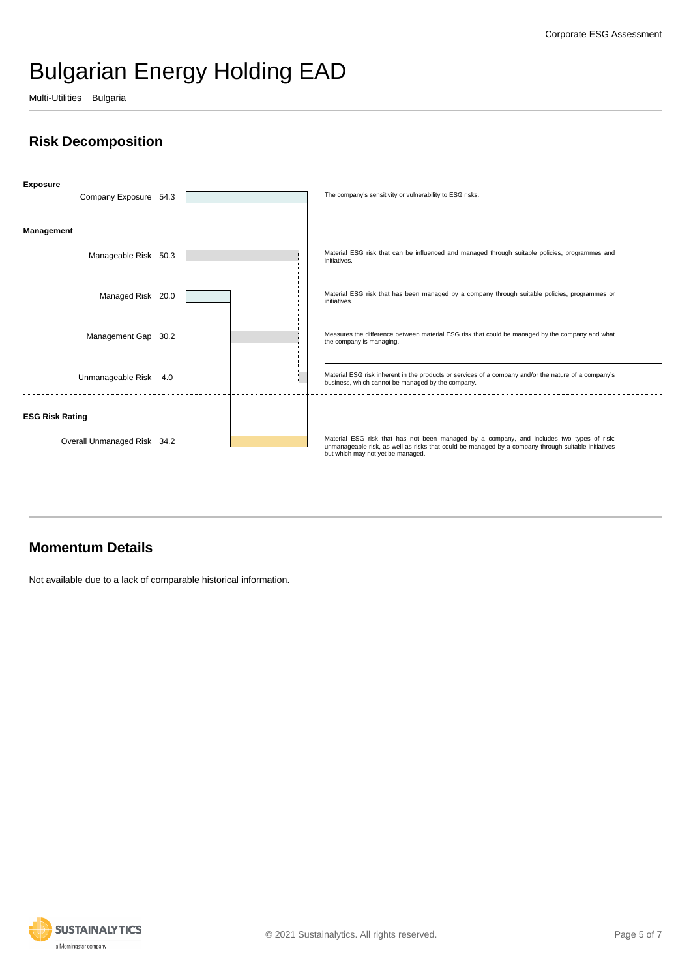Multi-Utilities Bulgaria

# **Risk Decomposition**



## **Momentum Details**

Not available due to a lack of comparable historical information.

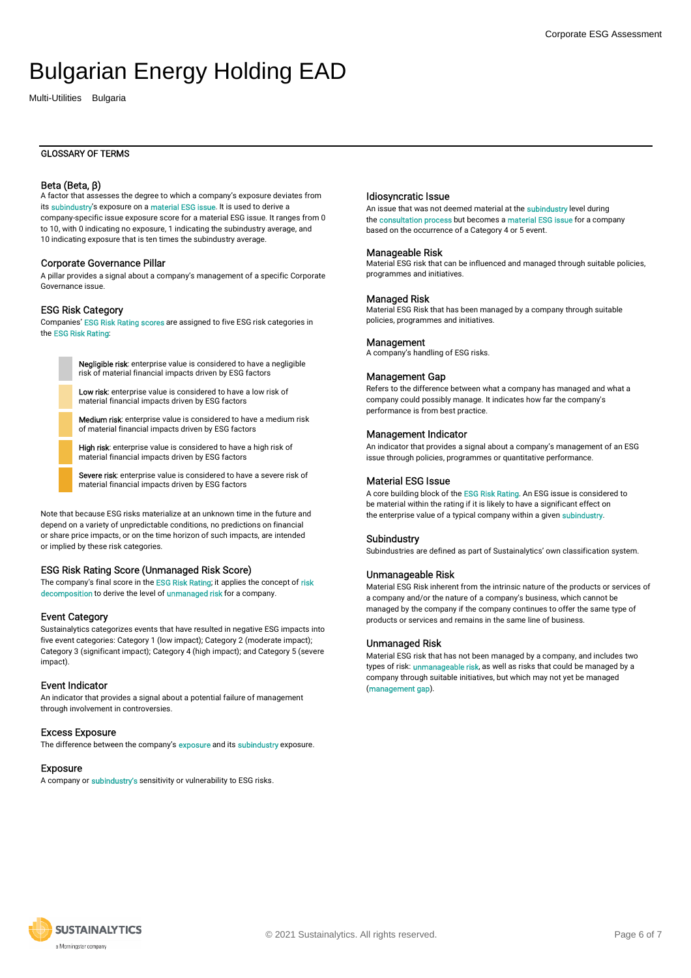Multi-Utilities Bulgaria

#### GLOSSARY OF TERMS

#### Beta (Beta, β)

A factor that assesses the degree to which a company's exposure deviates from its subindustry's exposure on a material ESG issue. It is used to derive a company-specific issue exposure score for a material ESG issue. It ranges from 0 to 10, with 0 indicating no exposure, 1 indicating the subindustry average, and 10 indicating exposure that is ten times the subindustry average.

#### Corporate Governance Pillar

A pillar provides a signal about a company's management of a specific Corporate Governance issue.

#### ESG Risk Category

Companies' ESG Risk Rating scores are assigned to five ESG risk categories in the ESG Risk Rating:

> Negligible risk: enterprise value is considered to have a negligible risk of material financial impacts driven by ESG factors

Low risk: enterprise value is considered to have a low risk of material financial impacts driven by ESG factors

Medium risk: enterprise value is considered to have a medium risk of material financial impacts driven by ESG factors

High risk: enterprise value is considered to have a high risk of material financial impacts driven by ESG factors

Severe risk: enterprise value is considered to have a severe risk of material financial impacts driven by ESG factors

Note that because ESG risks materialize at an unknown time in the future and depend on a variety of unpredictable conditions, no predictions on financial or share price impacts, or on the time horizon of such impacts, are intended or implied by these risk categories.

#### ESG Risk Rating Score (Unmanaged Risk Score)

The company's final score in the ESG Risk Rating; it applies the concept of risk decomposition to derive the level of unmanaged risk for a company.

#### Event Category

Sustainalytics categorizes events that have resulted in negative ESG impacts into five event categories: Category 1 (low impact); Category 2 (moderate impact); Category 3 (significant impact); Category 4 (high impact); and Category 5 (severe impact).

#### Event Indicator

An indicator that provides a signal about a potential failure of management through involvement in controversies.

#### Excess Exposure

The difference between the company's **exposure** and its **subindustry** exposure.

#### Exposure

A company or subindustry's sensitivity or vulnerability to ESG risks.

#### Idiosyncratic Issue

An issue that was not deemed material at the subindustry level during the consultation process but becomes a material ESG issue for a company based on the occurrence of a Category 4 or 5 event.

#### Manageable Risk

Material ESG risk that can be influenced and managed through suitable policies, programmes and initiatives.

#### Managed Risk

Material ESG Risk that has been managed by a company through suitable policies, programmes and initiatives.

#### **Management**

A company's handling of ESG risks.

#### Management Gap

Refers to the difference between what a company has managed and what a company could possibly manage. It indicates how far the company's performance is from best practice.

#### Management Indicator

An indicator that provides a signal about a company's management of an ESG issue through policies, programmes or quantitative performance.

#### Material ESG Issue

A core building block of the ESG Risk Rating. An ESG issue is considered to be material within the rating if it is likely to have a significant effect on the enterprise value of a typical company within a given subindustry.

#### Subindustry

Subindustries are defined as part of Sustainalytics' own classification system.

#### Unmanageable Risk

Material ESG Risk inherent from the intrinsic nature of the products or services of a company and/or the nature of a company's business, which cannot be managed by the company if the company continues to offer the same type of products or services and remains in the same line of business.

#### Unmanaged Risk

Material ESG risk that has not been managed by a company, and includes two types of risk: **unmanageable risk**, as well as risks that could be managed by a company through suitable initiatives, but which may not yet be managed (management gap).